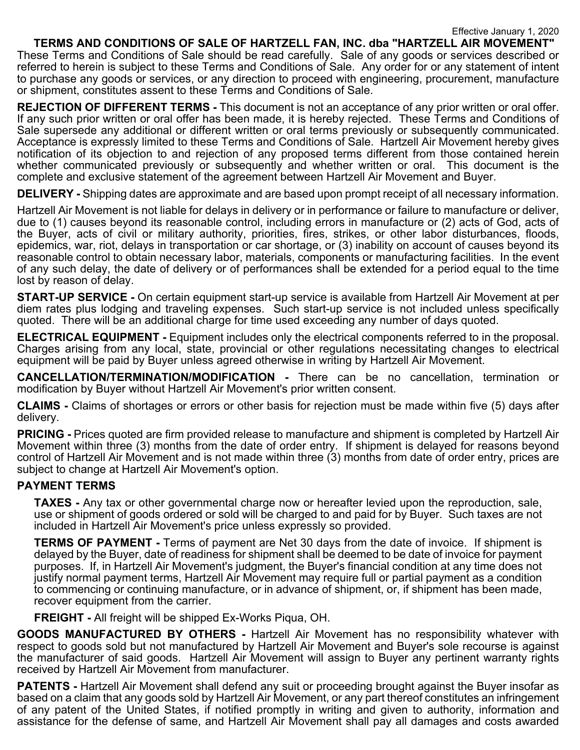**TERMS AND CONDITIONS OF SALE OF HARTZELL FAN, INC. dba "HARTZELL AIR MOVEMENT"** These Terms and Conditions of Sale should be read carefully. Sale of any goods or services described or referred to herein is subject to these Terms and Conditions of Sale. Any order for or any statement of intent to purchase any goods or services, or any direction to proceed with engineering, procurement, manufacture or shipment, constitutes assent to these Terms and Conditions of Sale.

**REJECTION OF DIFFERENT TERMS -** This document is not an acceptance of any prior written or oral offer. If any such prior written or oral offer has been made, it is hereby rejected. These Terms and Conditions of Sale supersede any additional or different written or oral terms previously or subsequently communicated. Acceptance is expressly limited to these Terms and Conditions of Sale. Hartzell Air Movement hereby gives notification of its objection to and rejection of any proposed terms different from those contained herein whether communicated previously or subsequently and whether written or oral. This document is the complete and exclusive statement of the agreement between Hartzell Air Movement and Buyer.

**DELIVERY -** Shipping dates are approximate and are based upon prompt receipt of all necessary information.

Hartzell Air Movement is not liable for delays in delivery or in performance or failure to manufacture or deliver, due to (1) causes beyond its reasonable control, including errors in manufacture or (2) acts of God, acts of the Buyer, acts of civil or military authority, priorities, fires, strikes, or other labor disturbances, floods, epidemics, war, riot, delays in transportation or car shortage, or (3) inability on account of causes beyond its reasonable control to obtain necessary labor, materials, components or manufacturing facilities. In the event of any such delay, the date of delivery or of performances shall be extended for a period equal to the time lost by reason of delay.

**START-UP SERVICE -** On certain equipment start-up service is available from Hartzell Air Movement at per diem rates plus lodging and traveling expenses. Such start-up service is not included unless specifically quoted. There will be an additional charge for time used exceeding any number of days quoted.

**ELECTRICAL EQUIPMENT -** Equipment includes only the electrical components referred to in the proposal. Charges arising from any local, state, provincial or other regulations necessitating changes to electrical equipment will be paid by Buyer unless agreed otherwise in writing by Hartzell Air Movement.

**CANCELLATION/TERMINATION/MODIFICATION -** There can be no cancellation, termination or modification by Buyer without Hartzell Air Movement's prior written consent.

**CLAIMS -** Claims of shortages or errors or other basis for rejection must be made within five (5) days after delivery.

**PRICING -** Prices quoted are firm provided release to manufacture and shipment is completed by Hartzell Air Movement within three (3) months from the date of order entry. If shipment is delayed for reasons beyond control of Hartzell Air Movement and is not made within three (3) months from date of order entry, prices are subject to change at Hartzell Air Movement's option.

## **PAYMENT TERMS**

**TAXES -** Any tax or other governmental charge now or hereafter levied upon the reproduction, sale, use or shipment of goods ordered or sold will be charged to and paid for by Buyer. Such taxes are not included in Hartzell Air Movement's price unless expressly so provided.

**TERMS OF PAYMENT -** Terms of payment are Net 30 days from the date of invoice. If shipment is delayed by the Buyer, date of readiness for shipment shall be deemed to be date of invoice for payment purposes. If, in Hartzell Air Movement's judgment, the Buyer's financial condition at any time does not justify normal payment terms, Hartzell Air Movement may require full or partial payment as a condition to commencing or continuing manufacture, or in advance of shipment, or, if shipment has been made, recover equipment from the carrier.

**FREIGHT -** All freight will be shipped Ex-Works Piqua, OH.

**GOODS MANUFACTURED BY OTHERS -** Hartzell Air Movement has no responsibility whatever with respect to goods sold but not manufactured by Hartzell Air Movement and Buyer's sole recourse is against the manufacturer of said goods. Hartzell Air Movement will assign to Buyer any pertinent warranty rights received by Hartzell Air Movement from manufacturer.

**PATENTS -** Hartzell Air Movement shall defend any suit or proceeding brought against the Buyer insofar as based on a claim that any goods sold by Hartzell Air Movement, or any part thereof constitutes an infringement of any patent of the United States, if notified promptly in writing and given to authority, information and assistance for the defense of same, and Hartzell Air Movement shall pay all damages and costs awarded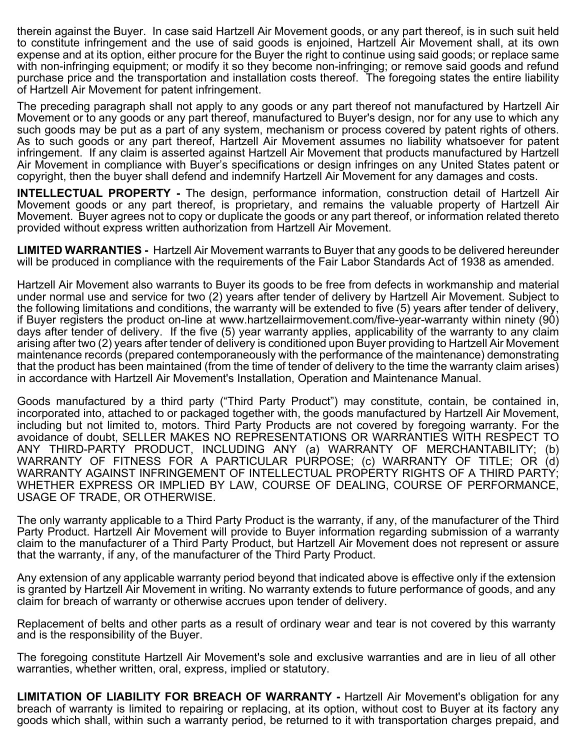therein against the Buyer. In case said Hartzell Air Movement goods, or any part thereof, is in such suit held to constitute infringement and the use of said goods is enjoined, Hartzell Air Movement shall, at its own expense and at its option, either procure for the Buyer the right to continue using said goods; or replace same with non-infringing equipment; or modify it so they become non-infringing; or remove said goods and refund purchase price and the transportation and installation costs thereof. The foregoing states the entire liability of Hartzell Air Movement for patent infringement.

The preceding paragraph shall not apply to any goods or any part thereof not manufactured by Hartzell Air Movement or to any goods or any part thereof, manufactured to Buyer's design, nor for any use to which any such goods may be put as a part of any system, mechanism or process covered by patent rights of others. As to such goods or any part thereof, Hartzell Air Movement assumes no liability whatsoever for patent infringement. If any claim is asserted against Hartzell Air Movement that products manufactured by Hartzell Air Movement in compliance with Buyer's specifications or design infringes on any United States patent or copyright, then the buyer shall defend and indemnify Hartzell Air Movement for any damages and costs.

**INTELLECTUAL PROPERTY -** The design, performance information, construction detail of Hartzell Air Movement goods or any part thereof, is proprietary, and remains the valuable property of Hartzell Air Movement. Buyer agrees not to copy or duplicate the goods or any part thereof, or information related thereto provided without express written authorization from Hartzell Air Movement.

**LIMITED WARRANTIES -** Hartzell Air Movement warrants to Buyer that any goods to be delivered hereunder will be produced in compliance with the requirements of the Fair Labor Standards Act of 1938 as amended.

Hartzell Air Movement also warrants to Buyer its goods to be free from defects in workmanship and material under normal use and service for two (2) years after tender of delivery by Hartzell Air Movement. Subject to the following limitations and conditions, the warranty will be extended to five (5) years after tender of delivery, if Buyer registers the product on-line at www.hartzellairmovement.com/five-year-warranty within ninety (90) days after tender of delivery. If the five (5) year warranty applies, applicability of the warranty to any claim arising after two (2) years after tender of delivery is conditioned upon Buyer providing to Hartzell Air Movement maintenance records (prepared contemporaneously with the performance of the maintenance) demonstrating that the product has been maintained (from the time of tender of delivery to the time the warranty claim arises) in accordance with Hartzell Air Movement's Installation, Operation and Maintenance Manual.

Goods manufactured by a third party ("Third Party Product") may constitute, contain, be contained in, incorporated into, attached to or packaged together with, the goods manufactured by Hartzell Air Movement, including but not limited to, motors. Third Party Products are not covered by foregoing warranty. For the avoidance of doubt, SELLER MAKES NO REPRESENTATIONS OR WARRANTIES WITH RESPECT TO ANY THIRD-PARTY PRODUCT, INCLUDING ANY (a) WARRANTY OF MERCHANTABILITY; (b) WARRANTY OF FITNESS FOR A PARTICULAR PURPOSE; (c) WARRANTY OF TITLE; OR (d) WARRANTY AGAINST INFRINGEMENT OF INTELLECTUAL PROPERTY RIGHTS OF A THIRD PARTY; WHETHER EXPRESS OR IMPLIED BY LAW, COURSE OF DEALING, COURSE OF PERFORMANCE, USAGE OF TRADE, OR OTHERWISE.

The only warranty applicable to a Third Party Product is the warranty, if any, of the manufacturer of the Third Party Product. Hartzell Air Movement will provide to Buyer information regarding submission of a warranty claim to the manufacturer of a Third Party Product, but Hartzell Air Movement does not represent or assure that the warranty, if any, of the manufacturer of the Third Party Product.

Any extension of any applicable warranty period beyond that indicated above is effective only if the extension is granted by Hartzell Air Movement in writing. No warranty extends to future performance of goods, and any claim for breach of warranty or otherwise accrues upon tender of delivery.

Replacement of belts and other parts as a result of ordinary wear and tear is not covered by this warranty and is the responsibility of the Buyer.

The foregoing constitute Hartzell Air Movement's sole and exclusive warranties and are in lieu of all other warranties, whether written, oral, express, implied or statutory.

**LIMITATION OF LIABILITY FOR BREACH OF WARRANTY -** Hartzell Air Movement's obligation for any breach of warranty is limited to repairing or replacing, at its option, without cost to Buyer at its factory any goods which shall, within such a warranty period, be returned to it with transportation charges prepaid, and